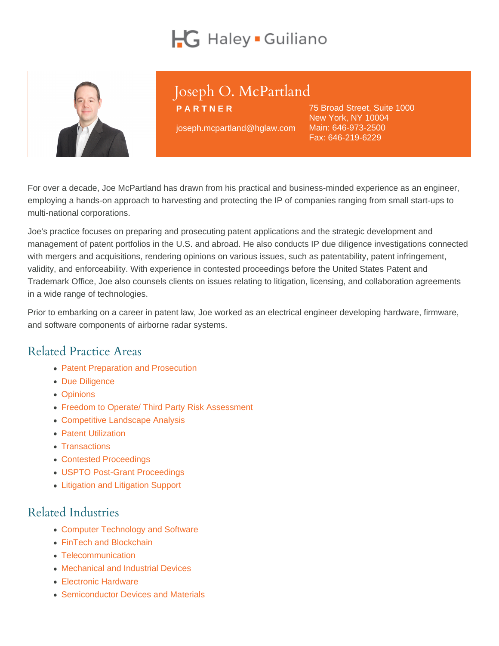# Joseph O. McPartland

PARTNER

joseph.mcpartland@hglaw.com

75 Broad Street, Suite 1000 New York, NY 10004 Main: [646-973-2500](tel:+1-646-973-2500) Fax: 646-219-6229

For over a decade, Joe McPartland has drawn from his practical and business-minded experience as an engineer, employing a hands-on approach to harvesting and protecting the IP of companies ranging from small start-ups to multi-national corporations.

Joe's practice focuses on preparing and prosecuting patent applications and the strategic development and management of patent portfolios in the U.S. and abroad. He also conducts IP due diligence investigations connected with mergers and acquisitions, rendering opinions on various issues, such as patentability, patent infringement, validity, and enforceability. With experience in contested proceedings before the United States Patent and Trademark Office, Joe also counsels clients on issues relating to litigation, licensing, and collaboration agreements in a wide range of technologies.

Prior to embarking on a career in patent law, Joe worked as an electrical engineer developing hardware, firmware, and software components of airborne radar systems.

### Related Practice Areas

- [Patent Preparation and Prosecution](https://www.hglaw.com/practice-areas/patents/patent-preparation-prosecution/)
- [Due Diligence](https://www.hglaw.com/practice-areas/strategic-counseling/due-diligence/)
- [Opinions](https://www.hglaw.com/practice-areas/strategic-counseling/opinions/)
- [Freedom to Operate/ Third Party Risk Assessment](https://www.hglaw.com/practice-areas/strategic-counseling/freedom-to-operate-third-party-risk-assessment/)
- [Competitive Landscape Analysis](https://www.hglaw.com/practice-areas/strategic-counseling/competitive-landscape-analysis/)
- [Patent Utilization](https://www.hglaw.com/practice-areas/strategic-counseling/patent-utilization/)
- [Transactions](https://www.hglaw.com/practice-areas/strategic-counseling/transactions/)
- [Contested Proceedings](https://www.hglaw.com/practice-areas/contested-proceedings/)
- [USPTO Post-Grant Proceedings](https://www.hglaw.com/practice-areas/contested-proceedings/uspto-post-grant-proceedings/)
- [Litigation and Litigation Support](https://www.hglaw.com/practice-areas/contested-proceedings/litigation-support/)

### Related Industries

- [Computer Technology and Software](https://www.hglaw.com/industries/computer-technology-software/)
- [FinTech and Blockchain](https://www.hglaw.com/industries/fintech-blockchain/)
- [Telecommunication](https://www.hglaw.com/industries/telecommunications/)
- [Mechanical and Industrial Devices](https://www.hglaw.com/industries/mechanical-industrial-devices/)
- **[Electronic Hardware](https://www.hglaw.com/industries/electronic-hardware/)**
- [Semiconductor Devices and Materials](https://www.hglaw.com/industries/semiconductors-devices-materials/)